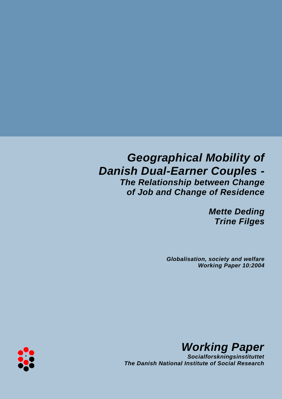# *Geographical Mobility of Danish Dual-Earner Couples - The Relationship between Change of Job and Change of Residence*

*Mette Deding Trine Filges*

*Globalisation, society and welfare Working Paper 10:2004*



*Working Paper*

*Socialforskningsinstituttet The Danish National Institute of Social Research*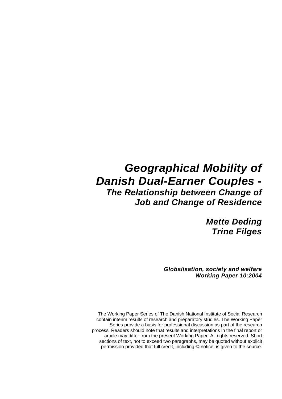# *Geographical Mobility of Danish Dual-Earner Couples - The Relationship between Change of Job and Change of Residence*

*Mette Deding Trine Filges* 

*Globalisation, society and welfare Working Paper 10:2004* 

The Working Paper Series of The Danish National Institute of Social Research contain interim results of research and preparatory studies. The Working Paper Series provide a basis for professional discussion as part of the research process. Readers should note that results and interpretations in the final report or article may differ from the present Working Paper. All rights reserved. Short sections of text, not to exceed two paragraphs, may be quoted without explicit permission provided that full credit, including ©-notice, is given to the source.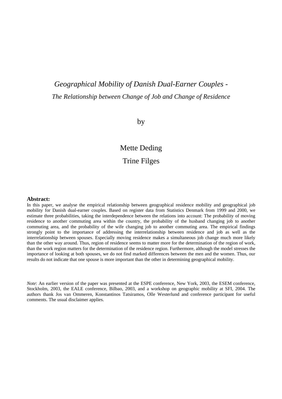## *Geographical Mobility of Danish Dual-Earner Couples - The Relationship between Change of Job and Change of Residence*

by

## Mette Deding Trine Filges

#### **Abstract:**

In this paper, we analyse the empirical relationship between geographical residence mobility and geographical job mobility for Danish dual-earner couples. Based on register data from Statistics Denmark from 1999 and 2000, we estimate three probabilities, taking the interdependence between the relations into account: The probability of moving residence to another commuting area within the country, the probability of the husband changing job to another commuting area, and the probability of the wife changing job to another commuting area. The empirical findings strongly point to the importance of addressing the interrelationship between residence and job as well as the interrelationship between spouses. Especially moving residence makes a simultaneous job change much more likely than the other way around. Thus, region of residence seems to matter more for the determination of the region of work, than the work region matters for the determination of the residence region. Furthermore, although the model stresses the importance of looking at both spouses, we do not find marked differences between the men and the women. Thus, our results do not indicate that one spouse is more important than the other in determining geographical mobility.

*Note*: An earlier version of the paper was presented at the ESPE conference, New York, 2003, the ESEM conference, Stockholm, 2003, the EALE conference, Bilbao, 2003, and a workshop on geographic mobility at SFI, 2004. The authors thank Jos van Ommeren, Konstantinos Tatsiramos, Olle Westerlund and conference participant for useful comments. The usual disclaimer applies.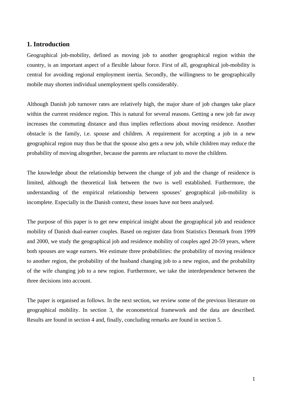## **1. Introduction**

Geographical job-mobility, defined as moving job to another geographical region within the country, is an important aspect of a flexible labour force. First of all, geographical job-mobility is central for avoiding regional employment inertia. Secondly, the willingness to be geographically mobile may shorten individual unemployment spells considerably.

Although Danish job turnover rates are relatively high, the major share of job changes take place within the current residence region. This is natural for several reasons. Getting a new job far away increases the commuting distance and thus implies reflections about moving residence. Another obstacle is the family, i.e. spouse and children. A requirement for accepting a job in a new geographical region may thus be that the spouse also gets a new job, while children may reduce the probability of moving altogether, because the parents are reluctant to move the children.

The knowledge about the relationship between the change of job and the change of residence is limited, although the theoretical link between the two is well established. Furthermore, the understanding of the empirical relationship between spouses' geographical job-mobility is incomplete. Especially in the Danish context, these issues have not been analysed.

The purpose of this paper is to get new empirical insight about the geographical job and residence mobility of Danish dual-earner couples. Based on register data from Statistics Denmark from 1999 and 2000, we study the geographical job and residence mobility of couples aged 20-59 years, where both spouses are wage earners. We estimate three probabilities: the probability of moving residence to another region, the probability of the husband changing job to a new region, and the probability of the wife changing job to a new region. Furthermore, we take the interdependence between the three decisions into account.

The paper is organised as follows. In the next section, we review some of the previous literature on geographical mobility. In section 3, the econometrical framework and the data are described. Results are found in section 4 and, finally, concluding remarks are found in section 5.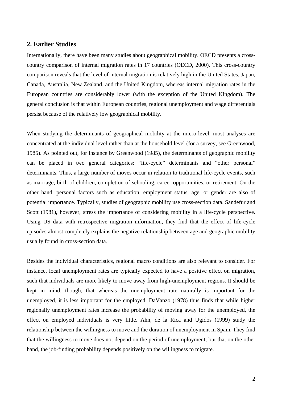## **2. Earlier Studies**

Internationally, there have been many studies about geographical mobility. OECD presents a crosscountry comparison of internal migration rates in 17 countries (OECD, 2000). This cross-country comparison reveals that the level of internal migration is relatively high in the United States, Japan, Canada, Australia, New Zealand, and the United Kingdom, whereas internal migration rates in the European countries are considerably lower (with the exception of the United Kingdom). The general conclusion is that within European countries, regional unemployment and wage differentials persist because of the relatively low geographical mobility.

When studying the determinants of geographical mobility at the micro-level, most analyses are concentrated at the individual level rather than at the household level (for a survey, see Greenwood, 1985). As pointed out, for instance by Greenwood (1985), the determinants of geographic mobility can be placed in two general categories: "life-cycle" determinants and "other personal" determinants. Thus, a large number of moves occur in relation to traditional life-cycle events, such as marriage, birth of children, completion of schooling, career opportunities, or retirement. On the other hand, personal factors such as education, employment status, age, or gender are also of potential importance. Typically, studies of geographic mobility use cross-section data. Sandefur and Scott (1981), however, stress the importance of considering mobility in a life-cycle perspective. Using US data with retrospective migration information, they find that the effect of life-cycle episodes almost completely explains the negative relationship between age and geographic mobility usually found in cross-section data.

Besides the individual characteristics, regional macro conditions are also relevant to consider. For instance, local unemployment rates are typically expected to have a positive effect on migration, such that individuals are more likely to move away from high-unemployment regions. It should be kept in mind, though, that whereas the unemployment rate naturally is important for the unemployed, it is less important for the employed. DaVanzo (1978) thus finds that while higher regionally unemployment rates increase the probability of moving away for the unemployed, the effect on employed individuals is very little. Ahn, de la Rica and Ugidos (1999) study the relationship between the willingness to move and the duration of unemployment in Spain. They find that the willingness to move does not depend on the period of unemployment; but that on the other hand, the job-finding probability depends positively on the willingness to migrate.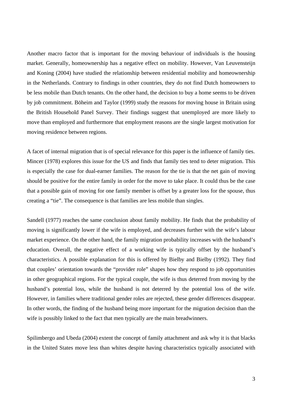Another macro factor that is important for the moving behaviour of individuals is the housing market. Generally, homeownership has a negative effect on mobility. However, Van Leuvensteijn and Koning (2004) have studied the relationship between residential mobility and homeownership in the Netherlands. Contrary to findings in other countries, they do not find Dutch homeowners to be less mobile than Dutch tenants. On the other hand, the decision to buy a home seems to be driven by job commitment. Böheim and Taylor (1999) study the reasons for moving house in Britain using the British Household Panel Survey. Their findings suggest that unemployed are more likely to move than employed and furthermore that employment reasons are the single largest motivation for moving residence between regions.

A facet of internal migration that is of special relevance for this paper is the influence of family ties. Mincer (1978) explores this issue for the US and finds that family ties tend to deter migration. This is especially the case for dual-earner families. The reason for the tie is that the net gain of moving should be positive for the entire family in order for the move to take place. It could thus be the case that a possible gain of moving for one family member is offset by a greater loss for the spouse, thus creating a "tie". The consequence is that families are less mobile than singles.

Sandell (1977) reaches the same conclusion about family mobility. He finds that the probability of moving is significantly lower if the wife is employed, and decreases further with the wife's labour market experience. On the other hand, the family migration probability increases with the husband's education. Overall, the negative effect of a working wife is typically offset by the husband's characteristics. A possible explanation for this is offered by Bielby and Bielby (1992). They find that couples' orientation towards the "provider role" shapes how they respond to job opportunities in other geographical regions. For the typical couple, the wife is thus deterred from moving by the husband's potential loss, while the husband is not deterred by the potential loss of the wife. However, in families where traditional gender roles are rejected, these gender differences disappear. In other words, the finding of the husband being more important for the migration decision than the wife is possibly linked to the fact that men typically are the main breadwinners.

Spilimbergo and Ubeda (2004) extent the concept of family attachment and ask why it is that blacks in the United States move less than whites despite having characteristics typically associated with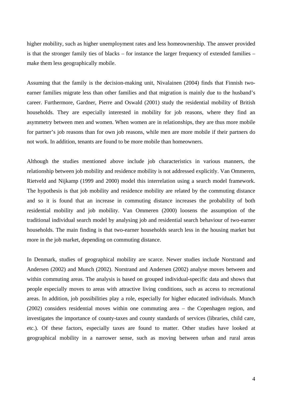higher mobility, such as higher unemployment rates and less homeownership. The answer provided is that the stronger family ties of blacks – for instance the larger frequency of extended families – make them less geographically mobile.

Assuming that the family is the decision-making unit, Nivalainen (2004) finds that Finnish twoearner families migrate less than other families and that migration is mainly due to the husband's career. Furthermore, Gardner, Pierre and Oswald (2001) study the residential mobility of British households. They are especially interested in mobility for job reasons, where they find an asymmetry between men and women. When women are in relationships, they are thus more mobile for partner's job reasons than for own job reasons, while men are more mobile if their partners do not work. In addition, tenants are found to be more mobile than homeowners.

Although the studies mentioned above include job characteristics in various manners, the relationship between job mobility and residence mobility is not addressed explicitly. Van Ommeren, Rietveld and Nijkamp (1999 and 2000) model this interrelation using a search model framework. The hypothesis is that job mobility and residence mobility are related by the commuting distance and so it is found that an increase in commuting distance increases the probability of both residential mobility and job mobility. Van Ommeren (2000) loosens the assumption of the traditional individual search model by analysing job and residential search behaviour of two-earner households. The main finding is that two-earner households search less in the housing market but more in the job market, depending on commuting distance.

In Denmark, studies of geographical mobility are scarce. Newer studies include Norstrand and Andersen (2002) and Munch (2002). Norstrand and Andersen (2002) analyse moves between and within commuting areas. The analysis is based on grouped individual-specific data and shows that people especially moves to areas with attractive living conditions, such as access to recreational areas. In addition, job possibilities play a role, especially for higher educated individuals. Munch (2002) considers residential moves within one commuting area – the Copenhagen region, and investigates the importance of county-taxes and county standards of services (libraries, child care, etc.). Of these factors, especially taxes are found to matter. Other studies have looked at geographical mobility in a narrower sense, such as moving between urban and rural areas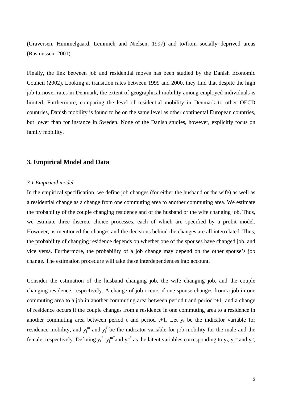(Graversen, Hummelgaard, Lemmich and Nielsen, 1997) and to/from socially deprived areas (Rasmussen, 2001).

Finally, the link between job and residential moves has been studied by the Danish Economic Council (2002). Looking at transition rates between 1999 and 2000, they find that despite the high job turnover rates in Denmark, the extent of geographical mobility among employed individuals is limited. Furthermore, comparing the level of residential mobility in Denmark to other OECD countries, Danish mobility is found to be on the same level as other continental European countries, but lower than for instance in Sweden. None of the Danish studies, however, explicitly focus on family mobility.

#### **3. Empirical Model and Data**

#### *3.1 Empirical model*

In the empirical specification, we define job changes (for either the husband or the wife) as well as a residential change as a change from one commuting area to another commuting area. We estimate the probability of the couple changing residence and of the husband or the wife changing job. Thus, we estimate three discrete choice processes, each of which are specified by a probit model. However, as mentioned the changes and the decisions behind the changes are all interrelated. Thus, the probability of changing residence depends on whether one of the spouses have changed job, and vice versa. Furthermore, the probability of a job change may depend on the other spouse's job change. The estimation procedure will take these interdependences into account.

Consider the estimation of the husband changing job, the wife changing job, and the couple changing residence, respectively. A change of job occurs if one spouse changes from a job in one commuting area to a job in another commuting area between period t and period  $t+1$ , and a change of residence occurs if the couple changes from a residence in one commuting area to a residence in another commuting area between period t and period  $t+1$ . Let  $y_r$  be the indicator variable for residence mobility, and  $y_j^{\text{th}}$  and  $y_j^{\text{th}}$  be the indicator variable for job mobility for the male and the female, respectively. Defining  $y_r^*$ ,  $y_j^{m*}$  and  $y_j^{f*}$  as the latent variables corresponding to  $y_r$ ,  $y_j^m$  and  $y_j^f$ ,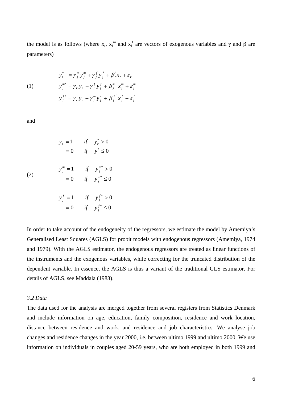the model is as follows (where  $x_r$ ,  $x_j^m$  and  $x_j^f$  are vectors of exogenous variables and  $\gamma$  and  $\beta$  are parameters)

(1)  
\n
$$
y_r^* = \gamma_j^m y_j^m + \gamma_j^f y_j^f + \beta_r^r x_r + \varepsilon_r
$$
\n
$$
y_j^{m^*} = \gamma_r y_r + \gamma_j^f y_j^f + \beta_j^{m^*} x_j^m + \varepsilon_j^m
$$
\n
$$
y_j^{f^*} = \gamma_r y_r + \gamma_j^m y_j^m + \beta_j^f x_j^f + \varepsilon_j^f
$$

and

|     |       | $y_r = 1$ if $y_r^* > 0$<br>$= 0$ if $y_r^* \leq 0$            |
|-----|-------|----------------------------------------------------------------|
| (2) | $= 0$ | $y_i^m = 1$ if $y_i^{m^*} > 0$<br>if $y_i^{m^*} \leq 0$        |
|     |       | $\mathbf{f}$ 1 : $\mathbf{f}$ $\mathbf{f}^*$ $\leq \mathbf{0}$ |

$$
y_j^f = 1 \qquad \text{if} \quad y_j^{f^*} > 0
$$

$$
= 0 \qquad \text{if} \quad y_j^{f^*} \le 0
$$

In order to take account of the endogeneity of the regressors, we estimate the model by Amemiya's Generalised Least Squares (AGLS) for probit models with endogenous regressors (Amemiya, 1974 and 1979). With the AGLS estimator, the endogenous regressors are treated as linear functions of the instruments and the exogenous variables, while correcting for the truncated distribution of the dependent variable. In essence, the AGLS is thus a variant of the traditional GLS estimator. For details of AGLS, see Maddala (1983).

#### *3.2 Data*

The data used for the analysis are merged together from several registers from Statistics Denmark and include information on age, education, family composition, residence and work location, distance between residence and work, and residence and job characteristics. We analyse job changes and residence changes in the year 2000, i.e. between ultimo 1999 and ultimo 2000. We use information on individuals in couples aged 20-59 years, who are both employed in both 1999 and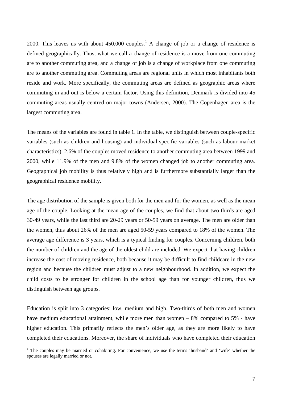2000.This leaves us with about  $450,000$  couples.<sup>1</sup> A change of job or a change of residence is defined geographically. Thus, what we call a change of residence is a move from one commuting are to another commuting area, and a change of job is a change of workplace from one commuting are to another commuting area. Commuting areas are regional units in which most inhabitants both reside and work. More specifically, the commuting areas are defined as geographic areas where commuting in and out is below a certain factor. Using this definition, Denmark is divided into 45 commuting areas usually centred on major towns (Andersen, 2000). The Copenhagen area is the largest commuting area.

The means of the variables are found in table 1. In the table, we distinguish between couple-specific variables (such as children and housing) and individual-specific variables (such as labour market characteristics). 2.6% of the couples moved residence to another commuting area between 1999 and 2000, while 11.9% of the men and 9.8% of the women changed job to another commuting area. Geographical job mobility is thus relatively high and is furthermore substantially larger than the geographical residence mobility.

The age distribution of the sample is given both for the men and for the women, as well as the mean age of the couple. Looking at the mean age of the couples, we find that about two-thirds are aged 30-49 years, while the last third are 20-29 years or 50-59 years on average. The men are older than the women, thus about 26% of the men are aged 50-59 years compared to 18% of the women. The average age difference is 3 years, which is a typical finding for couples. Concerning children, both the number of children and the age of the oldest child are included. We expect that having children increase the cost of moving residence, both because it may be difficult to find childcare in the new region and because the children must adjust to a new neighbourhood. In addition, we expect the child costs to be stronger for children in the school age than for younger children, thus we distinguish between age groups.

Education is split into 3 categories: low, medium and high. Two-thirds of both men and women have medium educational attainment, while more men than women – 8% compared to 5% - have higher education. This primarily reflects the men's older age, as they are more likely to have completed their educations. Moreover, the share of individuals who have completed their education

 $\overline{a}$ 

<span id="page-9-0"></span><sup>&</sup>lt;sup>1</sup> The couples may be married or cohabiting. For convenience, we use the terms 'husband' and 'wife' whether the spouses are legally married or not.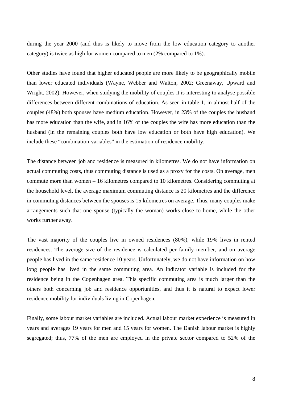during the year 2000 (and thus is likely to move from the low education category to another category) is twice as high for women compared to men (2% compared to 1%).

Other studies have found that higher educated people are more likely to be geographically mobile than lower educated individuals (Wayne, Webber and Walton, 2002; Greenaway, Upward and Wright, 2002). However, when studying the mobility of couples it is interesting to analyse possible differences between different combinations of education. As seen in table 1, in almost half of the couples (48%) both spouses have medium education. However, in 23% of the couples the husband has more education than the wife, and in 16% of the couples the wife has more education than the husband (in the remaining couples both have low education or both have high education). We include these "combination-variables" in the estimation of residence mobility.

The distance between job and residence is measured in kilometres. We do not have information on actual commuting costs, thus commuting distance is used as a proxy for the costs. On average, men commute more than women – 16 kilometres compared to 10 kilometres. Considering commuting at the household level, the average maximum commuting distance is 20 kilometres and the difference in commuting distances between the spouses is 15 kilometres on average. Thus, many couples make arrangements such that one spouse (typically the woman) works close to home, while the other works further away.

The vast majority of the couples live in owned residences (80%), while 19% lives in rented residences. The average size of the residence is calculated per family member, and on average people has lived in the same residence 10 years. Unfortunately, we do not have information on how long people has lived in the same commuting area. An indicator variable is included for the residence being in the Copenhagen area. This specific commuting area is much larger than the others both concerning job and residence opportunities, and thus it is natural to expect lower residence mobility for individuals living in Copenhagen.

Finally, some labour market variables are included. Actual labour market experience is measured in years and averages 19 years for men and 15 years for women. The Danish labour market is highly segregated; thus, 77% of the men are employed in the private sector compared to 52% of the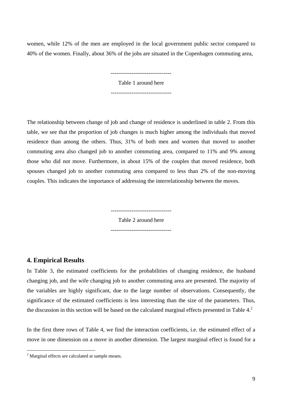women, while 12% of the men are employed in the local government public sector compared to 40% of the women. Finally, about 36% of the jobs are situated in the Copenhagen commuting area,

--------------------------------

Table 1 around here

The relationship between change of job and change of residence is underlined in table 2. From this table, we see that the proportion of job changes is much higher among the individuals that moved residence than among the others. Thus, 31% of both men and women that moved to another commuting area also changed job to another commuting area, compared to 11% and 9% among those who did not move. Furthermore, in about 15% of the couples that moved residence, both spouses changed job to another commuting area compared to less than 2% of the non-moving couples. This indicates the importance of addressing the interrelationship between the moves.

> -------------------------------- Table 2 around here --------------------------------

#### **4. Empirical Results**

 $\overline{a}$ 

In Table 3, the estimated coefficients for the probabilities of changing residence, the husband changing job, and the wife changing job to another commuting area are presented. The majority of the variables are highly significant, due to the large number of observations. Consequently, the significance of the estimated coefficients is less interesting than the size of the parameters. Thus, the discussion in this section will be based on the calculated marginal effects presented in Table  $4<sup>2</sup>$  $4<sup>2</sup>$  $4<sup>2</sup>$ .

In the first three rows of Table 4, we find the interaction coefficients, i.e. the estimated effect of a move in one dimension on a move in another dimension. The largest marginal effect is found for a

<span id="page-11-0"></span> $2^2$  Marginal effects are calculated at sample means.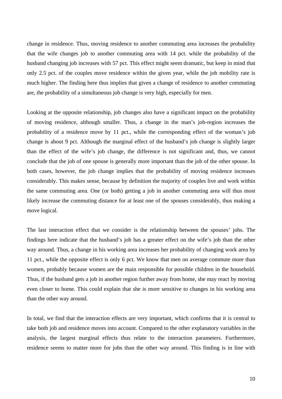change in residence. Thus, moving residence to another commuting area increases the probability that the wife changes job to another commuting area with 14 pct. while the probability of the husband changing job increases with 57 pct. This effect might seem dramatic, but keep in mind that only 2.5 pct. of the couples move residence within the given year, while the job mobility rate is much higher. The finding here thus implies that given a change of residence to another commuting are, the probability of a simultaneous job change is very high, especially for men.

Looking at the opposite relationship, job changes also have a significant impact on the probability of moving residence, although smaller. Thus, a change in the man's job-region increases the probability of a residence move by 11 pct., while the corresponding effect of the woman's job change is about 9 pct. Although the marginal effect of the husband's job change is slightly larger than the effect of the wife's job change, the difference is not significant and, thus, we cannot conclude that the job of one spouse is generally more important than the job of the other spouse. In both cases, however, the job change implies that the probability of moving residence increases considerably. This makes sense, because by definition the majority of couples live and work within the same commuting area. One (or both) getting a job in another commuting area will thus most likely increase the commuting distance for at least one of the spouses considerably, thus making a move logical.

The last interaction effect that we consider is the relationship between the spouses' jobs. The findings here indicate that the husband's job has a greater effect on the wife's job than the other way around. Thus, a change in his working area increases her probability of changing work area by 11 pct., while the opposite effect is only 6 pct. We know that men on average commute more than women, probably because women are the main responsible for possible children in the household. Thus, if the husband gets a job in another region further away from home, she may react by moving even closer to home. This could explain that she is more sensitive to changes in his working area than the other way around.

In total, we find that the interaction effects are very important, which confirms that it is central to take both job and residence moves into account. Compared to the other explanatory variables in the analysis, the largest marginal effects thus relate to the interaction parameters. Furthermore, residence seems to matter more for jobs than the other way around. This finding is in line with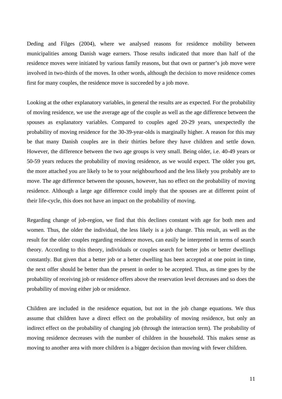Deding and Filges (2004), where we analysed reasons for residence mobility between municipalities among Danish wage earners. Those results indicated that more than half of the residence moves were initiated by various family reasons, but that own or partner's job move were involved in two-thirds of the moves. In other words, although the decision to move residence comes first for many couples, the residence move is succeeded by a job move.

Looking at the other explanatory variables, in general the results are as expected. For the probability of moving residence, we use the average age of the couple as well as the age difference between the spouses as explanatory variables. Compared to couples aged 20-29 years, unexpectedly the probability of moving residence for the 30-39-year-olds is marginally higher. A reason for this may be that many Danish couples are in their thirties before they have children and settle down. However, the difference between the two age groups is very small. Being older, i.e. 40-49 years or 50-59 years reduces the probability of moving residence, as we would expect. The older you get, the more attached you are likely to be to your neighbourhood and the less likely you probably are to move. The age difference between the spouses, however, has no effect on the probability of moving residence. Although a large age difference could imply that the spouses are at different point of their life-cycle, this does not have an impact on the probability of moving.

Regarding change of job-region, we find that this declines constant with age for both men and women. Thus, the older the individual, the less likely is a job change. This result, as well as the result for the older couples regarding residence moves, can easily be interpreted in terms of search theory. According to this theory, individuals or couples search for better jobs or better dwellings constantly. But given that a better job or a better dwelling has been accepted at one point in time, the next offer should be better than the present in order to be accepted. Thus, as time goes by the probability of receiving job or residence offers above the reservation level decreases and so does the probability of moving either job or residence.

Children are included in the residence equation, but not in the job change equations. We thus assume that children have a direct effect on the probability of moving residence, but only an indirect effect on the probability of changing job (through the interaction term). The probability of moving residence decreases with the number of children in the household. This makes sense as moving to another area with more children is a bigger decision than moving with fewer children.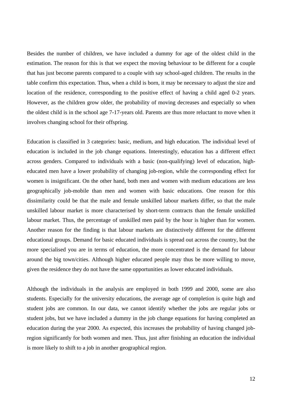Besides the number of children, we have included a dummy for age of the oldest child in the estimation. The reason for this is that we expect the moving behaviour to be different for a couple that has just become parents compared to a couple with say school-aged children. The results in the table confirm this expectation. Thus, when a child is born, it may be necessary to adjust the size and location of the residence, corresponding to the positive effect of having a child aged 0-2 years. However, as the children grow older, the probability of moving decreases and especially so when the oldest child is in the school age 7-17-years old. Parents are thus more reluctant to move when it involves changing school for their offspring.

Education is classified in 3 categories: basic, medium, and high education. The individual level of education is included in the job change equations. Interestingly, education has a different effect across genders. Compared to individuals with a basic (non-qualifying) level of education, higheducated men have a lower probability of changing job-region, while the corresponding effect for women is insignificant. On the other hand, both men and women with medium educations are less geographically job-mobile than men and women with basic educations. One reason for this dissimilarity could be that the male and female unskilled labour markets differ, so that the male unskilled labour market is more characterised by short-term contracts than the female unskilled labour market. Thus, the percentage of unskilled men paid by the hour is higher than for women. Another reason for the finding is that labour markets are distinctively different for the different educational groups. Demand for basic educated individuals is spread out across the country, but the more specialised you are in terms of education, the more concentrated is the demand for labour around the big town/cities. Although higher educated people may thus be more willing to move, given the residence they do not have the same opportunities as lower educated individuals.

Although the individuals in the analysis are employed in both 1999 and 2000, some are also students. Especially for the university educations, the average age of completion is quite high and student jobs are common. In our data, we cannot identify whether the jobs are regular jobs or student jobs, but we have included a dummy in the job change equations for having completed an education during the year 2000. As expected, this increases the probability of having changed jobregion significantly for both women and men. Thus, just after finishing an education the individual is more likely to shift to a job in another geographical region.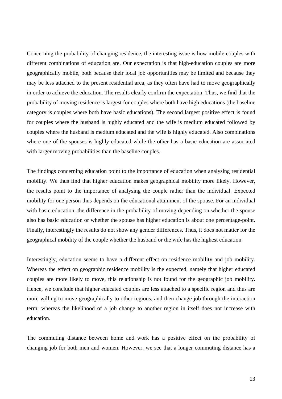Concerning the probability of changing residence, the interesting issue is how mobile couples with different combinations of education are. Our expectation is that high-education couples are more geographically mobile, both because their local job opportunities may be limited and because they may be less attached to the present residential area, as they often have had to move geographically in order to achieve the education. The results clearly confirm the expectation. Thus, we find that the probability of moving residence is largest for couples where both have high educations (the baseline category is couples where both have basic educations). The second largest positive effect is found for couples where the husband is highly educated and the wife is medium educated followed by couples where the husband is medium educated and the wife is highly educated. Also combinations where one of the spouses is highly educated while the other has a basic education are associated with larger moving probabilities than the baseline couples.

The findings concerning education point to the importance of education when analysing residential mobility. We thus find that higher education makes geographical mobility more likely. However, the results point to the importance of analysing the couple rather than the individual. Expected mobility for one person thus depends on the educational attainment of the spouse. For an individual with basic education, the difference in the probability of moving depending on whether the spouse also has basic education or whether the spouse has higher education is about one percentage-point. Finally, interestingly the results do not show any gender differences. Thus, it does not matter for the geographical mobility of the couple whether the husband or the wife has the highest education.

Interestingly, education seems to have a different effect on residence mobility and job mobility. Whereas the effect on geographic residence mobility is the expected, namely that higher educated couples are more likely to move, this relationship is not found for the geographic job mobility. Hence, we conclude that higher educated couples are less attached to a specific region and thus are more willing to move geographically to other regions, and then change job through the interaction term; whereas the likelihood of a job change to another region in itself does not increase with education.

The commuting distance between home and work has a positive effect on the probability of changing job for both men and women. However, we see that a longer commuting distance has a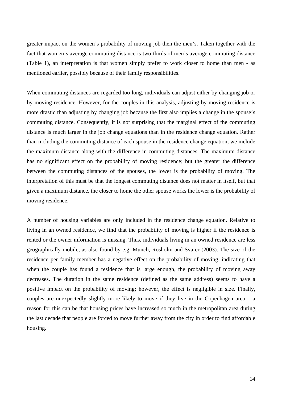greater impact on the women's probability of moving job then the men's. Taken together with the fact that women's average commuting distance is two-thirds of men's average commuting distance (Table 1), an interpretation is that women simply prefer to work closer to home than men - as mentioned earlier, possibly because of their family responsibilities.

When commuting distances are regarded too long, individuals can adjust either by changing job or by moving residence. However, for the couples in this analysis, adjusting by moving residence is more drastic than adjusting by changing job because the first also implies a change in the spouse's commuting distance. Consequently, it is not surprising that the marginal effect of the commuting distance is much larger in the job change equations than in the residence change equation. Rather than including the commuting distance of each spouse in the residence change equation, we include the maximum distance along with the difference in commuting distances. The maximum distance has no significant effect on the probability of moving residence; but the greater the difference between the commuting distances of the spouses, the lower is the probability of moving. The interpretation of this must be that the longest commuting distance does not matter in itself, but that given a maximum distance, the closer to home the other spouse works the lower is the probability of moving residence.

A number of housing variables are only included in the residence change equation. Relative to living in an owned residence, we find that the probability of moving is higher if the residence is rented or the owner information is missing. Thus, individuals living in an owned residence are less geographically mobile, as also found by e.g. Munch, Rosholm and Svarer (2003). The size of the residence per family member has a negative effect on the probability of moving, indicating that when the couple has found a residence that is large enough, the probability of moving away decreases. The duration in the same residence (defined as the same address) seems to have a positive impact on the probability of moving; however, the effect is negligible in size. Finally, couples are unexpectedly slightly more likely to move if they live in the Copenhagen area – a reason for this can be that housing prices have increased so much in the metropolitan area during the last decade that people are forced to move further away from the city in order to find affordable housing.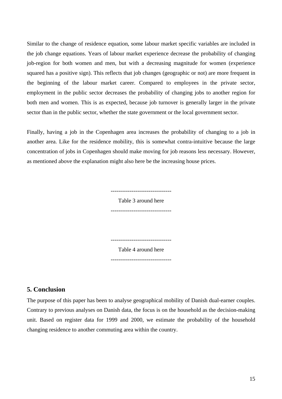Similar to the change of residence equation, some labour market specific variables are included in the job change equations. Years of labour market experience decrease the probability of changing job-region for both women and men, but with a decreasing magnitude for women (experience squared has a positive sign). This reflects that job changes (geographic or not) are more frequent in the beginning of the labour market career. Compared to employees in the private sector, employment in the public sector decreases the probability of changing jobs to another region for both men and women. This is as expected, because job turnover is generally larger in the private sector than in the public sector, whether the state government or the local government sector.

Finally, having a job in the Copenhagen area increases the probability of changing to a job in another area. Like for the residence mobility, this is somewhat contra-intuitive because the large concentration of jobs in Copenhagen should make moving for job reasons less necessary. However, as mentioned above the explanation might also here be the increasing house prices.

Table 3 around here

--------------------------------

--------------------------------

--------------------------------

Table 4 around here --------------------------------

## **5. Conclusion**

The purpose of this paper has been to analyse geographical mobility of Danish dual-earner couples. Contrary to previous analyses on Danish data, the focus is on the household as the decision-making unit. Based on register data for 1999 and 2000, we estimate the probability of the household changing residence to another commuting area within the country.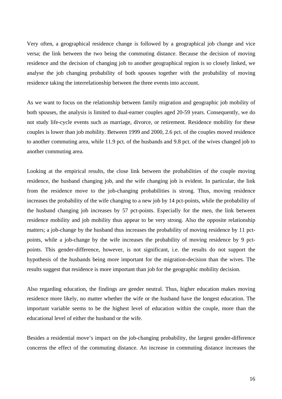Very often, a geographical residence change is followed by a geographical job change and vice versa; the link between the two being the commuting distance. Because the decision of moving residence and the decision of changing job to another geographical region is so closely linked, we analyse the job changing probability of both spouses together with the probability of moving residence taking the interrelationship between the three events into account.

As we want to focus on the relationship between family migration and geographic job mobility of both spouses, the analysis is limited to dual-earner couples aged 20-59 years. Consequently, we do not study life-cycle events such as marriage, divorce, or retirement. Residence mobility for these couples is lower than job mobility. Between 1999 and 2000, 2.6 pct. of the couples moved residence to another commuting area, while 11.9 pct. of the husbands and 9.8 pct. of the wives changed job to another commuting area.

Looking at the empirical results, the close link between the probabilities of the couple moving residence, the husband changing job, and the wife changing job is evident. In particular, the link from the residence move to the job-changing probabilities is strong. Thus, moving residence increases the probability of the wife changing to a new job by 14 pct-points, while the probability of the husband changing job increases by 57 pct-points. Especially for the men, the link between residence mobility and job mobility thus appear to be very strong. Also the opposite relationship matters; a job-change by the husband thus increases the probability of moving residence by 11 pctpoints, while a job-change by the wife increases the probability of moving residence by 9 pctpoints. This gender-difference, however, is not significant, i.e. the results do not support the hypothesis of the husbands being more important for the migration-decision than the wives. The results suggest that residence is more important than job for the geographic mobility decision.

Also regarding education, the findings are gender neutral. Thus, higher education makes moving residence more likely, no matter whether the wife or the husband have the longest education. The important variable seems to be the highest level of education within the couple, more than the educational level of either the husband or the wife.

Besides a residential move's impact on the job-changing probability, the largest gender-difference concerns the effect of the commuting distance. An increase in commuting distance increases the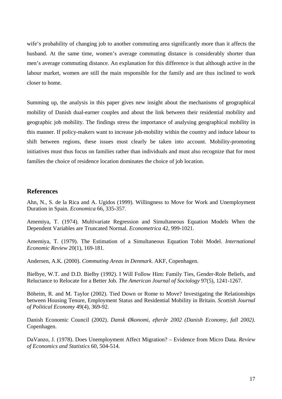wife's probability of changing job to another commuting area significantly more than it affects the husband. At the same time, women's average commuting distance is considerably shorter than men's average commuting distance. An explanation for this difference is that although active in the labour market, women are still the main responsible for the family and are thus inclined to work closer to home.

Summing up, the analysis in this paper gives new insight about the mechanisms of geographical mobility of Danish dual-earner couples and about the link between their residential mobility and geographic job mobility. The findings stress the importance of analysing geographical mobility in this manner. If policy-makers want to increase job-mobility within the country and induce labour to shift between regions, these issues must clearly be taken into account. Mobility-promoting initiatives must thus focus on families rather than individuals and must also recognize that for most families the choice of residence location dominates the choice of job location.

## **References**

Ahn, N., S. de la Rica and A. Ugidos (1999). Willingness to Move for Work and Unemployment Duration in Spain. *Economica* 66, 335-357.

Amemiya, T. (1974). Multivariate Regression and Simultaneous Equation Models When the Dependent Variables are Truncated Normal. *Econometrica* 42, 999-1021.

Amemiya, T. (1979). The Estimation of a Simultaneous Equation Tobit Model. *International Economic Review* 20(1), 169-181.

Andersen, A.K. (2000). *Commuting Areas in Denmark*. AKF, Copenhagen.

Bielbye, W.T. and D.D. Bielby (1992). I Will Follow Him: Family Ties, Gender-Role Beliefs, and Reluctance to Relocate for a Better Job. *The American Journal of Sociology* 97(5), 1241-1267.

Böheim, R. and M. Taylor (2002). Tied Down or Rome to Move? Investigating the Relationships between Housing Tenure, Employment Status and Residential Mobility in Britain. *Scottish Journal of Political Economy* 49(4), 369-92.

Danish Economic Council (2002). *Dansk Økonomi, efterår 2002 (Danish Economy, fall 2002)*. Copenhagen.

DaVanzo, J. (1978). Does Unemployment Affect Migration? – Evidence from Micro Data. *Review of Economics and Statistics* 60, 504-514.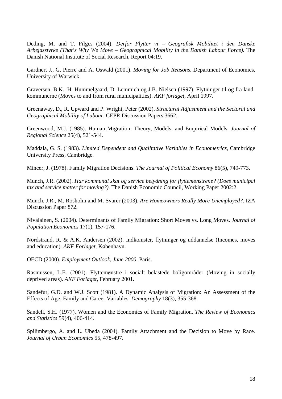Deding, M. and T. Filges (2004). *Derfor Flytter vi – Geografisk Mobilitet i den Danske Arbejdsstyrke (That's Why We Move – Geographical Mobility in the Danish Labour Force)*. The Danish National Institute of Social Research, Report 04:19.

Gardner, J., G. Pierre and A. Oswald (2001). *Moving for Job Reasons*. Department of Economics, University of Warwick.

Graversen, B.K., H. Hummelgaard, D. Lemmich og J.B. Nielsen (1997). Flytninger til og fra landkommunerne (Moves to and from rural municipalities). *AKF forlaget*, April 1997.

Greenaway, D., R. Upward and P. Wright, Peter (2002). *Structural Adjustment and the Sectoral and Geographical Mobility of Labour*. CEPR Discussion Papers 3662.

Greenwood, M.J. (1985). Human Migration: Theory, Models, and Empirical Models. *Journal of Regional Science* 25(4), 521-544.

Maddala, G. S. (1983). *Limited Dependent and Qualitative Variables in Econometrics*, Cambridge University Press, Cambridge.

Mincer, J. (1978). Family Migration Decisions. *The Journal of Political Economy* 86(5), 749-773.

Munch, J.R. (2002). *Har kommunal skat og service betydning for flyttemønstrene? (Does municipal tax and service matter for moving?)*. The Danish Economic Council, Working Paper 2002:2.

Munch, J.R., M. Rosholm and M. Svarer (2003). *Are Homeowners Really More Unemployed?.* IZA Discussion Paper 872.

Nivalainen, S. (2004). Determinants of Family Migration: Short Moves vs. Long Moves. *Journal of Population Economics* 17(1), 157-176.

Nordstrand, R. & A.K. Andersen (2002). Indkomster, flytninger og uddannelse (Incomes, moves and education). *AKF Forlaget*, København.

OECD (2000). *Employment Outlook, June 2000*. Paris.

Rasmussen, L.E. (2001). Flyttemønstre i socialt belastede boligområder (Moving in socially deprived areas). *AKF Forlaget*, February 2001.

Sandefur, G.D. and W.J. Scott (1981). A Dynamic Analysis of Migration: An Assessment of the Effects of Age, Family and Career Variables. *Demography* 18(3), 355-368.

Sandell, S.H. (1977). Women and the Economics of Family Migration. *The Review of Economics and Statistics* 59(4), 406-414.

Spilimbergo, A. and L. Ubeda (2004). Family Attachment and the Decision to Move by Race. *Journal of Urban Economics* 55, 478-497.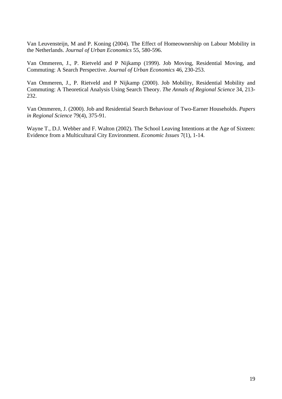Van Leuvensteijn, M and P. Koning (2004). The Effect of Homeownership on Labour Mobility in the Netherlands. *Journal of Urban Economics* 55, 580-596.

Van Ommeren, J., P. Rietveld and P Nijkamp (1999). Job Moving, Residential Moving, and Commuting: A Search Perspective. *Journal of Urban Economics* 46, 230-253.

Van Ommeren, J., P. Rietveld and P Nijkamp (2000). Job Mobility, Residential Mobility and Commuting: A Theoretical Analysis Using Search Theory. *The Annals of Regional Science* 34, 213- 232.

Van Ommeren, J. (2000). Job and Residential Search Behaviour of Two-Earner Households. *Papers in Regional Science* 79(4), 375-91.

Wayne T., D.J. Webber and F. Walton (2002). The School Leaving Intentions at the Age of Sixteen: Evidence from a Multicultural City Environment. *Economic Issues* 7(1), 1-14.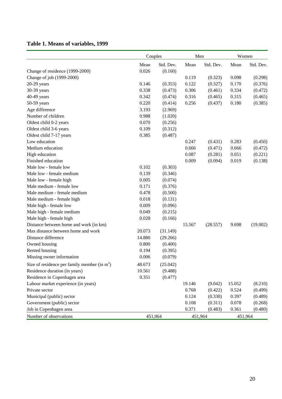## **Table 1. Means of variables, 1999**

|                                                |         | Couples   |         | Men       |         | Women     |  |
|------------------------------------------------|---------|-----------|---------|-----------|---------|-----------|--|
|                                                | Mean    | Std. Dev. | Mean    | Std. Dev. | Mean    | Std. Dev. |  |
| Change of residence (1999-2000)                | 0.026   | (0.160)   |         |           |         |           |  |
| Change of job (1999-2000)                      |         |           | 0.119   | (0.323)   | 0.098   | (0.298)   |  |
| $20-29$ years                                  | 0.146   | (0.353)   | 0.122   | (0.327)   | 0.170   | (0.376)   |  |
| 30-39 years                                    | 0.338   | (0.473)   | 0.306   | (0.461)   | 0.334   | (0.472)   |  |
| 40-49 years                                    | 0.342   | (0.474)   | 0.316   | (0.465)   | 0.315   | (0.465)   |  |
| 50-59 years                                    | 0.220   | (0.414)   | 0.256   | (0.437)   | 0.180   | (0.385)   |  |
| Age difference                                 | 3.193   | (2.969)   |         |           |         |           |  |
| Number of children                             | 0.988   | (1.020)   |         |           |         |           |  |
| Oldest child 0-2 years                         | 0.070   | (0.256)   |         |           |         |           |  |
| Oldest child 3-6 years                         | 0.109   | (0.312)   |         |           |         |           |  |
| Oldest child 7-17 years                        | 0.385   | (0.487)   |         |           |         |           |  |
| Low education                                  |         |           | 0.247   | (0.431)   | 0.283   | (0.450)   |  |
| Medium education                               |         |           | 0.666   | (0.471)   | 0.666   | (0.472)   |  |
| High education                                 |         |           | 0.087   | (0.281)   | 0.051   | (0.221)   |  |
| Finished education                             |         |           | 0.009   | (0.094)   | 0.019   | (0.138)   |  |
| Male low - female low                          | 0.102   | (0.303)   |         |           |         |           |  |
| Male low - female medium                       | 0.139   | (0.346)   |         |           |         |           |  |
| Male low - female high                         | 0.005   | (0.074)   |         |           |         |           |  |
| Male medium - female low                       | 0.171   | (0.376)   |         |           |         |           |  |
| Male medium - female medium                    | 0.478   | (0.500)   |         |           |         |           |  |
| Male medium - female high                      | 0.018   | (0.131)   |         |           |         |           |  |
| Male high - female low                         | 0.009   | (0.096)   |         |           |         |           |  |
| Male high - female medium                      | 0.049   | (0.215)   |         |           |         |           |  |
| Male high - female high                        | 0.028   | (0.166)   |         |           |         |           |  |
| Distance between home and work (in km)         |         |           | 15.567  | (28.557)  | 9.698   | (19.002)  |  |
| Max distance between home and work             | 20.073  | (31.149)  |         |           |         |           |  |
| Distance difference                            | 14.880  | (29.266)  |         |           |         |           |  |
| Owned housing                                  | 0.800   | (0.400)   |         |           |         |           |  |
| Rented housing                                 | 0.194   | (0.395)   |         |           |         |           |  |
| Missing owner information                      | 0.006   | (0.079)   |         |           |         |           |  |
| Size of residence per family member (in $m2$ ) | 48.673  | (25.042)  |         |           |         |           |  |
| Residence duration (in years)                  | 10.561  | (9.488)   |         |           |         |           |  |
| Residence in Copenhagen area                   | 0.351   | (0.477)   |         |           |         |           |  |
| Labour market experience (in years)            |         |           | 19.146  | (9.042)   | 15.052  | (8.210)   |  |
| Private sector                                 |         |           | 0.768   | (0.422)   | 0.524   | (0.499)   |  |
| Municipal (public) sector                      |         |           | 0.124   | (0.330)   | 0.397   | (0.489)   |  |
| Government (public) sector                     |         |           | 0.108   | (0.311)   | 0.078   | (0.268)   |  |
| Job in Copenhagen area                         |         |           | 0.371   | (0.483)   | 0.361   | (0.480)   |  |
| Number of observations                         | 451,964 |           | 451,964 |           | 451,964 |           |  |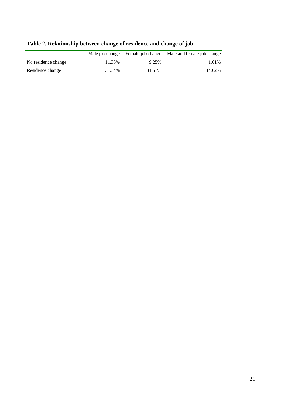|                     |        |        | Male job change Female job change Male and female job change |
|---------------------|--------|--------|--------------------------------------------------------------|
| No residence change | 11.33% | 9.25%  | 1.61%                                                        |
| Residence change    | 31.34% | 31.51% | 14.62%                                                       |

## **Table 2. Relationship between change of residence and change of job**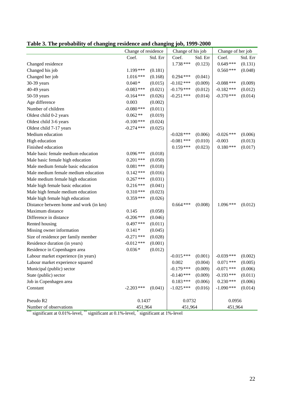|                                        | Change of residence |          | Change of his job |                    | Change of her job |          |
|----------------------------------------|---------------------|----------|-------------------|--------------------|-------------------|----------|
|                                        | Coef.               | Std. Err | Coef.             | Std. Err           | Coef.             | Std. Err |
| Changed residence                      |                     |          | $1.738***$        | (0.123)            | $0.649***$        | (0.131)  |
| Changed his job                        | 1.199 ***           | (0.181)  |                   |                    | $0.560$ ***       | (0.048)  |
| Changed her job                        | $1.016***$          | (0.168)  | $0.294$ ***       | (0.041)            |                   |          |
| 30-39 years                            | $0.040*$            | (0.015)  | $-0.102$ ***      | (0.009)            | $-0.088$ ***      | (0.009)  |
| 40-49 years                            | $-0.083$ ***        | (0.021)  | $-0.179$ ***      | (0.012)            | $-0.182$ ***      | (0.012)  |
| 50-59 years                            | $-0.164$ ***        | (0.026)  | $-0.251$ ***      | (0.014)            | $-0.370$ ***      | (0.014)  |
| Age difference                         | 0.003               | (0.002)  |                   |                    |                   |          |
| Number of children                     | $-0.080$ ***        | (0.011)  |                   |                    |                   |          |
| Oldest child 0-2 years                 | $0.062**$           | (0.019)  |                   |                    |                   |          |
| Oldest child 3-6 years                 | $-0.100$ ***        | (0.024)  |                   |                    |                   |          |
| Oldest child 7-17 years                | $-0.274$ ***        | (0.025)  |                   |                    |                   |          |
| Medium education                       |                     |          | $-0.028$ ***      | (0.006)            | $-0.026$ ***      | (0.006)  |
| High education                         |                     |          | $-0.081$ ***      | (0.010)            | $-0.003$          | (0.013)  |
| Finished education                     |                     |          | $0.159***$        | (0.023)            | $0.180***$        | (0.017)  |
| Male basic female medium education     | $0.096$ ***         | (0.018)  |                   |                    |                   |          |
| Male basic female high education       | $0.201$ ***         | (0.050)  |                   |                    |                   |          |
| Male medium female basic education     | $0.081$ ***         | (0.018)  |                   |                    |                   |          |
| Male medium female medium education    | $0.142***$          | (0.016)  |                   |                    |                   |          |
| Male medium female high education      | $0.267$ ***         | (0.031)  |                   |                    |                   |          |
| Male high female basic education       | $0.216***$          | (0.041)  |                   |                    |                   |          |
| Male high female medium education      | $0.310***$          | (0.023)  |                   |                    |                   |          |
| Male high female high education        | $0.359***$          | (0.026)  |                   |                    |                   |          |
| Distance between home and work (in km) |                     |          | $0.664$ ***       | (0.008)            | $1.096$ ***       | (0.012)  |
| Maximum distance                       | 0.145               | (0.058)  |                   |                    |                   |          |
| Difference in distance                 | $-0.206$ ***        | (0.046)  |                   |                    |                   |          |
| Rented housing                         | $0.497$ ***         | (0.011)  |                   |                    |                   |          |
| Missing owner information              | $0.141*$            | (0.045)  |                   |                    |                   |          |
| Size of residence per family member    | $-0.271$ ***        | (0.028)  |                   |                    |                   |          |
| Residence duration (in years)          | $-0.012$ ***        | (0.001)  |                   |                    |                   |          |
| Residence in Copenhagen area           | $0.036*$            | (0.012)  |                   |                    |                   |          |
| Labour market experience (in years)    |                     |          | $-0.015$ ***      | (0.001)            | $-0.039$ ***      | (0.002)  |
| Labour market experience squared       |                     |          | 0.002             | (0.004)            | $0.071$ ***       | (0.005)  |
| Municipal (public) sector              |                     |          | $-0.179$ ***      | (0.009)            | $-0.071$ ***      | (0.006)  |
| State (public) sector                  |                     |          | $-0.140$ ***      | (0.009)            | $-0.193$ ***      | (0.011)  |
| Job in Copenhagen area                 |                     |          | $0.183$ ***       | (0.006)            | $0.230***$        | (0.006)  |
| Constant                               | $-2.203$ ***        | (0.041)  | $-1.025$ ***      | (0.016)            | $-1.090$ ***      | (0.014)  |
| Pseudo R2                              | 0.1437              |          | 0.0732            |                    | 0.0956            |          |
| Number of observations                 | 451,964             |          |                   | 451,964<br>451,964 |                   |          |

## **Table 3. The probability of changing residence and changing job, 1999-2000**

\*\*\* significant at 0.01%-level, \*\* significant at 0.1%-level, \* significant at 1%-level